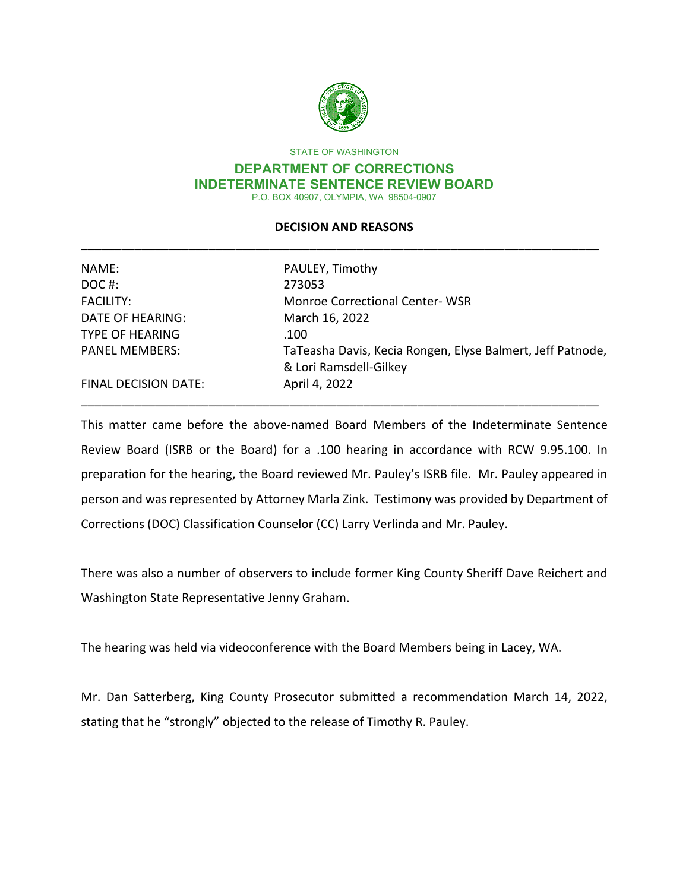

STATE OF WASHINGTON

#### **DEPARTMENT OF CORRECTIONS INDETERMINATE SENTENCE REVIEW BOARD** P.O. BOX 40907, OLYMPIA, WA 98504-0907

## **DECISION AND REASONS** \_\_\_\_\_\_\_\_\_\_\_\_\_\_\_\_\_\_\_\_\_\_\_\_\_\_\_\_\_\_\_\_\_\_\_\_\_\_\_\_\_\_\_\_\_\_\_\_\_\_\_\_\_\_\_\_\_\_\_\_\_\_\_\_\_\_\_\_\_\_\_\_\_\_\_\_\_

| NAME:                       | PAULEY, Timothy                                            |
|-----------------------------|------------------------------------------------------------|
| DOC#:                       | 273053                                                     |
| <b>FACILITY:</b>            | <b>Monroe Correctional Center-WSR</b>                      |
| DATE OF HEARING:            | March 16, 2022                                             |
| <b>TYPE OF HEARING</b>      | .100                                                       |
| <b>PANEL MEMBERS:</b>       | TaTeasha Davis, Kecia Rongen, Elyse Balmert, Jeff Patnode, |
|                             | & Lori Ramsdell-Gilkey                                     |
| <b>FINAL DECISION DATE:</b> | April 4, 2022                                              |
|                             |                                                            |

This matter came before the above-named Board Members of the Indeterminate Sentence Review Board (ISRB or the Board) for a .100 hearing in accordance with RCW 9.95.100. In preparation for the hearing, the Board reviewed Mr. Pauley's ISRB file. Mr. Pauley appeared in person and was represented by Attorney Marla Zink. Testimony was provided by Department of Corrections (DOC) Classification Counselor (CC) Larry Verlinda and Mr. Pauley.

There was also a number of observers to include former King County Sheriff Dave Reichert and Washington State Representative Jenny Graham.

The hearing was held via videoconference with the Board Members being in Lacey, WA.

Mr. Dan Satterberg, King County Prosecutor submitted a recommendation March 14, 2022, stating that he "strongly" objected to the release of Timothy R. Pauley.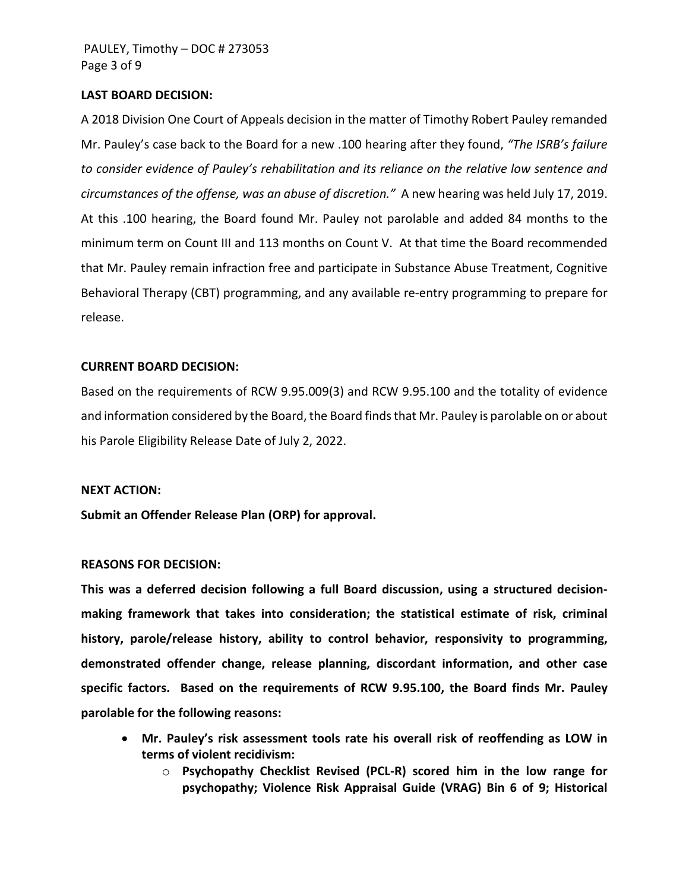#### **LAST BOARD DECISION:**

A 2018 Division One Court of Appeals decision in the matter of Timothy Robert Pauley remanded Mr. Pauley's case back to the Board for a new .100 hearing after they found, *"The ISRB's failure to consider evidence of Pauley's rehabilitation and its reliance on the relative low sentence and circumstances of the offense, was an abuse of discretion."* A new hearing was held July 17, 2019. At this .100 hearing, the Board found Mr. Pauley not parolable and added 84 months to the minimum term on Count III and 113 months on Count V. At that time the Board recommended that Mr. Pauley remain infraction free and participate in Substance Abuse Treatment, Cognitive Behavioral Therapy (CBT) programming, and any available re-entry programming to prepare for release.

#### **CURRENT BOARD DECISION:**

Based on the requirements of RCW 9.95.009(3) and RCW 9.95.100 and the totality of evidence and information considered by the Board, the Board finds that Mr. Pauley is parolable on or about his Parole Eligibility Release Date of July 2, 2022.

#### **NEXT ACTION:**

**Submit an Offender Release Plan (ORP) for approval.**

### **REASONS FOR DECISION:**

**This was a deferred decision following a full Board discussion, using a structured decisionmaking framework that takes into consideration; the statistical estimate of risk, criminal history, parole/release history, ability to control behavior, responsivity to programming, demonstrated offender change, release planning, discordant information, and other case specific factors. Based on the requirements of RCW 9.95.100, the Board finds Mr. Pauley parolable for the following reasons:** 

- **Mr. Pauley's risk assessment tools rate his overall risk of reoffending as LOW in terms of violent recidivism:**
	- o **Psychopathy Checklist Revised (PCL-R) scored him in the low range for psychopathy; Violence Risk Appraisal Guide (VRAG) Bin 6 of 9; Historical**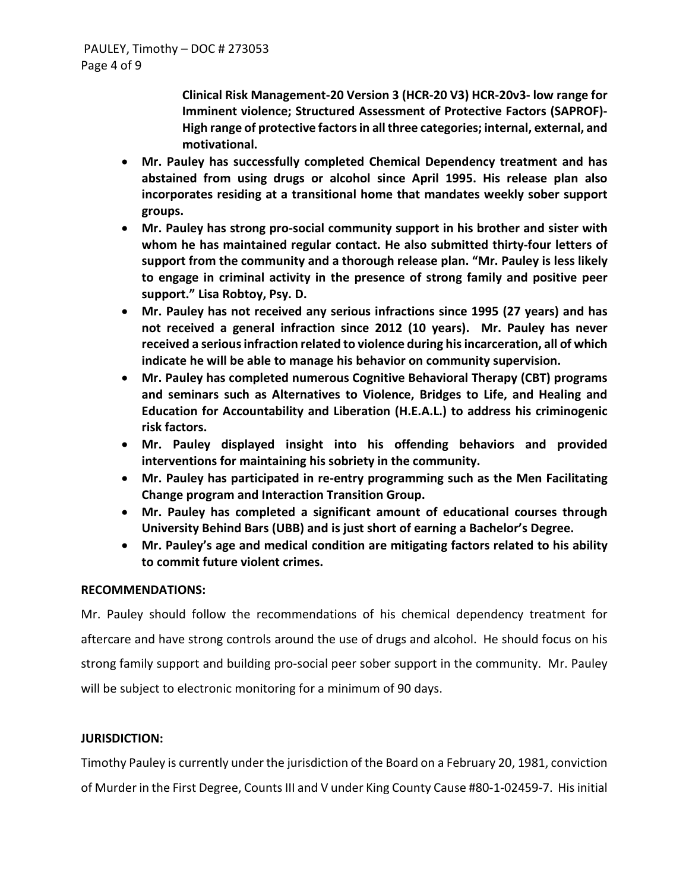**Clinical Risk Management-20 Version 3 (HCR-20 V3) HCR-20v3- low range for Imminent violence; Structured Assessment of Protective Factors (SAPROF)- High range of protective factors in all three categories; internal, external, and motivational.**

- **Mr. Pauley has successfully completed Chemical Dependency treatment and has abstained from using drugs or alcohol since April 1995. His release plan also incorporates residing at a transitional home that mandates weekly sober support groups.**
- **Mr. Pauley has strong pro-social community support in his brother and sister with whom he has maintained regular contact. He also submitted thirty-four letters of support from the community and a thorough release plan. "Mr. Pauley is less likely to engage in criminal activity in the presence of strong family and positive peer support." Lisa Robtoy, Psy. D.**
- **Mr. Pauley has not received any serious infractions since 1995 (27 years) and has not received a general infraction since 2012 (10 years). Mr. Pauley has never received a serious infraction related to violence during his incarceration, all of which indicate he will be able to manage his behavior on community supervision.**
- **Mr. Pauley has completed numerous Cognitive Behavioral Therapy (CBT) programs and seminars such as Alternatives to Violence, Bridges to Life, and Healing and Education for Accountability and Liberation (H.E.A.L.) to address his criminogenic risk factors.**
- **Mr. Pauley displayed insight into his offending behaviors and provided interventions for maintaining his sobriety in the community.**
- **Mr. Pauley has participated in re-entry programming such as the Men Facilitating Change program and Interaction Transition Group.**
- **Mr. Pauley has completed a significant amount of educational courses through University Behind Bars (UBB) and is just short of earning a Bachelor's Degree.**
- **Mr. Pauley's age and medical condition are mitigating factors related to his ability to commit future violent crimes.**

### **RECOMMENDATIONS:**

Mr. Pauley should follow the recommendations of his chemical dependency treatment for aftercare and have strong controls around the use of drugs and alcohol. He should focus on his strong family support and building pro-social peer sober support in the community. Mr. Pauley will be subject to electronic monitoring for a minimum of 90 days.

## **JURISDICTION:**

Timothy Pauley is currently under the jurisdiction of the Board on a February 20, 1981, conviction of Murder in the First Degree, Counts III and V under King County Cause #80-1-02459-7. His initial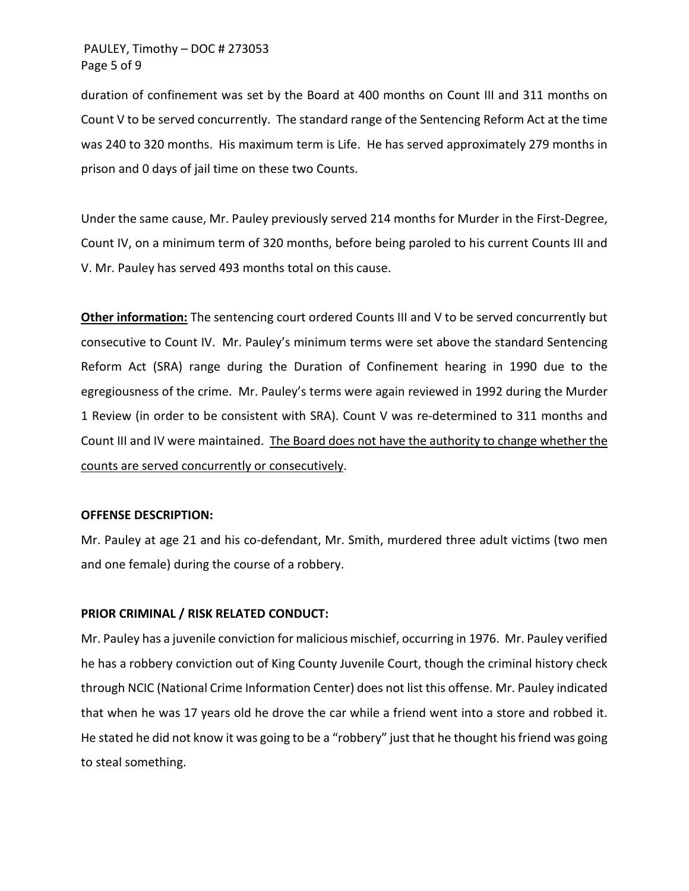## PAULEY, Timothy – DOC # 273053 Page 5 of 9

duration of confinement was set by the Board at 400 months on Count III and 311 months on Count V to be served concurrently. The standard range of the Sentencing Reform Act at the time was 240 to 320 months. His maximum term is Life. He has served approximately 279 months in prison and 0 days of jail time on these two Counts.

Under the same cause, Mr. Pauley previously served 214 months for Murder in the First-Degree, Count IV, on a minimum term of 320 months, before being paroled to his current Counts III and V. Mr. Pauley has served 493 months total on this cause.

**Other information:** The sentencing court ordered Counts III and V to be served concurrently but consecutive to Count IV. Mr. Pauley's minimum terms were set above the standard Sentencing Reform Act (SRA) range during the Duration of Confinement hearing in 1990 due to the egregiousness of the crime. Mr. Pauley's terms were again reviewed in 1992 during the Murder 1 Review (in order to be consistent with SRA). Count V was re-determined to 311 months and Count III and IV were maintained. The Board does not have the authority to change whether the counts are served concurrently or consecutively.

#### **OFFENSE DESCRIPTION:**

Mr. Pauley at age 21 and his co-defendant, Mr. Smith, murdered three adult victims (two men and one female) during the course of a robbery.

#### **PRIOR CRIMINAL / RISK RELATED CONDUCT:**

Mr. Pauley has a juvenile conviction for malicious mischief, occurring in 1976. Mr. Pauley verified he has a robbery conviction out of King County Juvenile Court, though the criminal history check through NCIC (National Crime Information Center) does not list this offense. Mr. Pauley indicated that when he was 17 years old he drove the car while a friend went into a store and robbed it. He stated he did not know it was going to be a "robbery" just that he thought his friend was going to steal something.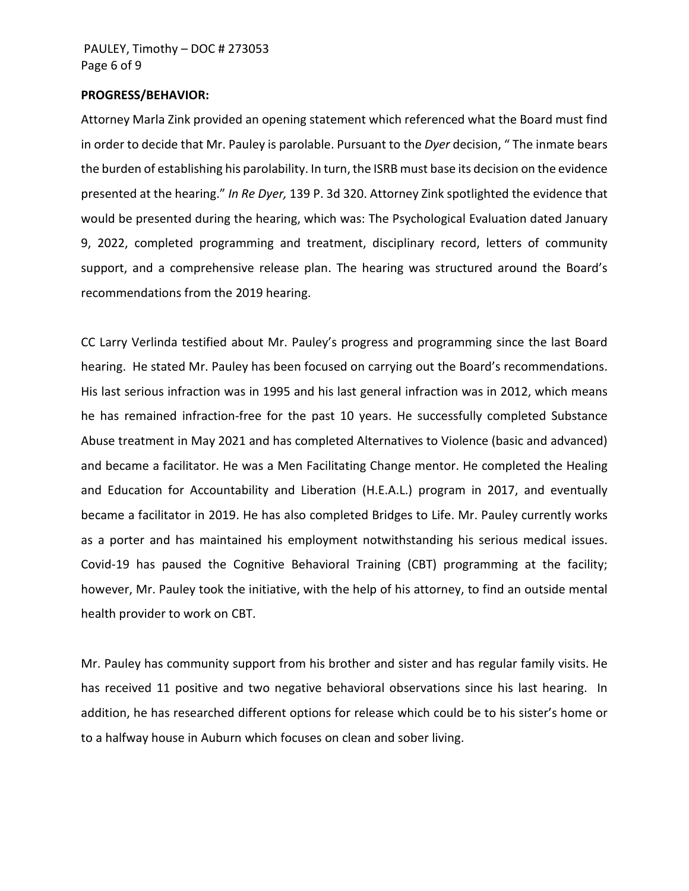#### **PROGRESS/BEHAVIOR:**

Attorney Marla Zink provided an opening statement which referenced what the Board must find in order to decide that Mr. Pauley is parolable. Pursuant to the *Dyer* decision, " The inmate bears the burden of establishing his parolability. In turn, the ISRB must base its decision on the evidence presented at the hearing." *In Re Dyer,* 139 P. 3d 320. Attorney Zink spotlighted the evidence that would be presented during the hearing, which was: The Psychological Evaluation dated January 9, 2022, completed programming and treatment, disciplinary record, letters of community support, and a comprehensive release plan. The hearing was structured around the Board's recommendations from the 2019 hearing.

CC Larry Verlinda testified about Mr. Pauley's progress and programming since the last Board hearing. He stated Mr. Pauley has been focused on carrying out the Board's recommendations. His last serious infraction was in 1995 and his last general infraction was in 2012, which means he has remained infraction-free for the past 10 years. He successfully completed Substance Abuse treatment in May 2021 and has completed Alternatives to Violence (basic and advanced) and became a facilitator. He was a Men Facilitating Change mentor. He completed the Healing and Education for Accountability and Liberation (H.E.A.L.) program in 2017, and eventually became a facilitator in 2019. He has also completed Bridges to Life. Mr. Pauley currently works as a porter and has maintained his employment notwithstanding his serious medical issues. Covid-19 has paused the Cognitive Behavioral Training (CBT) programming at the facility; however, Mr. Pauley took the initiative, with the help of his attorney, to find an outside mental health provider to work on CBT.

Mr. Pauley has community support from his brother and sister and has regular family visits. He has received 11 positive and two negative behavioral observations since his last hearing. In addition, he has researched different options for release which could be to his sister's home or to a halfway house in Auburn which focuses on clean and sober living.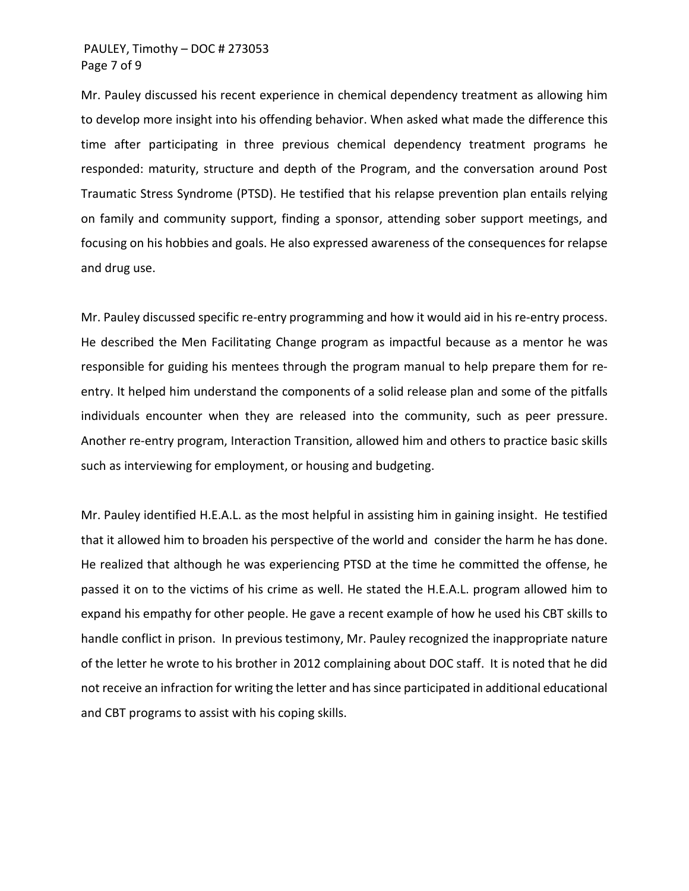### PAULEY, Timothy – DOC # 273053 Page 7 of 9

Mr. Pauley discussed his recent experience in chemical dependency treatment as allowing him to develop more insight into his offending behavior. When asked what made the difference this time after participating in three previous chemical dependency treatment programs he responded: maturity, structure and depth of the Program, and the conversation around Post Traumatic Stress Syndrome (PTSD). He testified that his relapse prevention plan entails relying on family and community support, finding a sponsor, attending sober support meetings, and focusing on his hobbies and goals. He also expressed awareness of the consequences for relapse and drug use.

Mr. Pauley discussed specific re-entry programming and how it would aid in his re-entry process. He described the Men Facilitating Change program as impactful because as a mentor he was responsible for guiding his mentees through the program manual to help prepare them for reentry. It helped him understand the components of a solid release plan and some of the pitfalls individuals encounter when they are released into the community, such as peer pressure. Another re-entry program, Interaction Transition, allowed him and others to practice basic skills such as interviewing for employment, or housing and budgeting.

Mr. Pauley identified H.E.A.L. as the most helpful in assisting him in gaining insight. He testified that it allowed him to broaden his perspective of the world and consider the harm he has done. He realized that although he was experiencing PTSD at the time he committed the offense, he passed it on to the victims of his crime as well. He stated the H.E.A.L. program allowed him to expand his empathy for other people. He gave a recent example of how he used his CBT skills to handle conflict in prison. In previous testimony, Mr. Pauley recognized the inappropriate nature of the letter he wrote to his brother in 2012 complaining about DOC staff. It is noted that he did not receive an infraction for writing the letter and has since participated in additional educational and CBT programs to assist with his coping skills.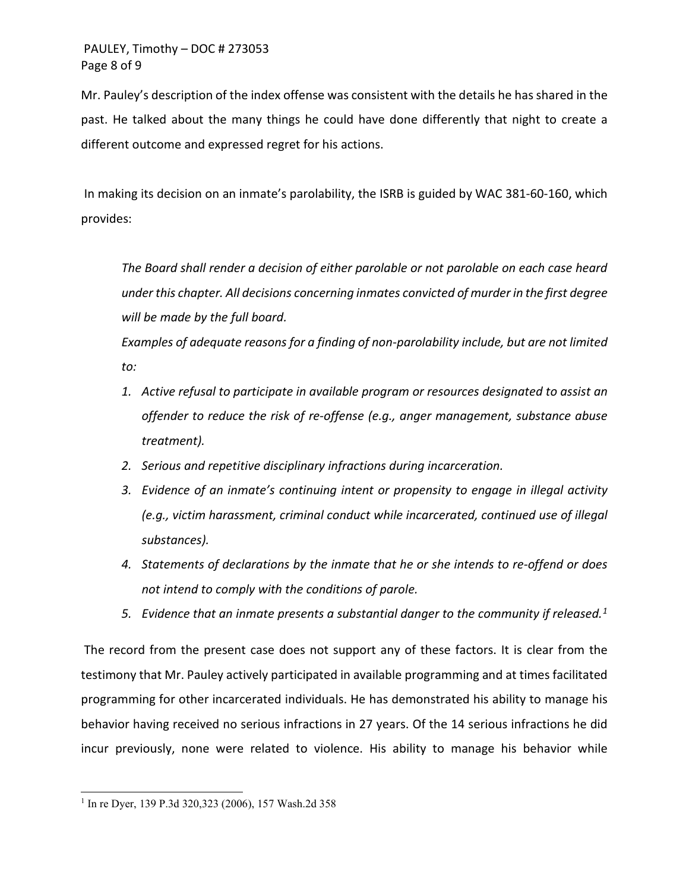# PAULEY, Timothy – DOC # 273053 Page 8 of 9

Mr. Pauley's description of the index offense was consistent with the details he has shared in the past. He talked about the many things he could have done differently that night to create a different outcome and expressed regret for his actions.

In making its decision on an inmate's parolability, the ISRB is guided by WAC 381-60-160, which provides:

*The Board shall render a decision of either parolable or not parolable on each case heard under this chapter. All decisions concerning inmates convicted of murder in the first degree will be made by the full board.*

*Examples of adequate reasons for a finding of non-parolability include, but are not limited to:*

- *1. Active refusal to participate in available program or resources designated to assist an offender to reduce the risk of re-offense (e.g., anger management, substance abuse treatment).*
- *2. Serious and repetitive disciplinary infractions during incarceration.*
- *3. Evidence of an inmate's continuing intent or propensity to engage in illegal activity (e.g., victim harassment, criminal conduct while incarcerated, continued use of illegal substances).*
- *4. Statements of declarations by the inmate that he or she intends to re-offend or does not intend to comply with the conditions of parole.*
- *5. Evidence that an inmate presents a substantial danger to the community if released.[1](#page-6-0)*

The record from the present case does not support any of these factors. It is clear from the testimony that Mr. Pauley actively participated in available programming and at times facilitated programming for other incarcerated individuals. He has demonstrated his ability to manage his behavior having received no serious infractions in 27 years. Of the 14 serious infractions he did incur previously, none were related to violence. His ability to manage his behavior while

<span id="page-6-0"></span><sup>1</sup> In re Dyer, 139 P.3d 320,323 (2006), 157 Wash.2d 358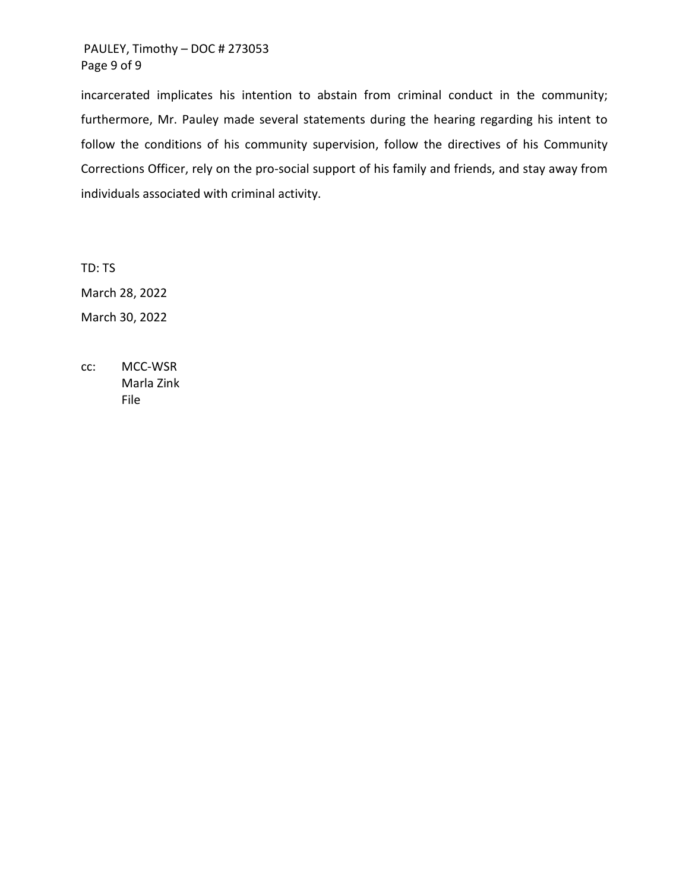# PAULEY, Timothy – DOC # 273053 Page 9 of 9

incarcerated implicates his intention to abstain from criminal conduct in the community; furthermore, Mr. Pauley made several statements during the hearing regarding his intent to follow the conditions of his community supervision, follow the directives of his Community Corrections Officer, rely on the pro-social support of his family and friends, and stay away from individuals associated with criminal activity.

TD: TS March 28, 2022 March 30, 2022

cc: MCC-WSR Marla Zink File